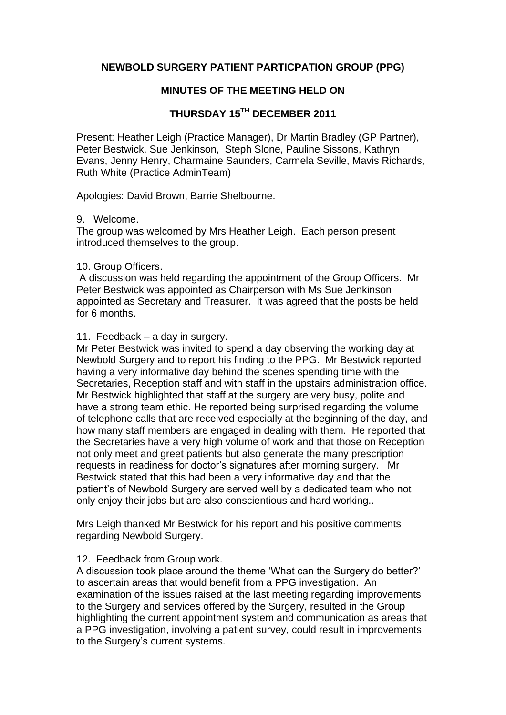# **NEWBOLD SURGERY PATIENT PARTICPATION GROUP (PPG)**

# **MINUTES OF THE MEETING HELD ON**

# **THURSDAY 15TH DECEMBER 2011**

Present: Heather Leigh (Practice Manager), Dr Martin Bradley (GP Partner), Peter Bestwick, Sue Jenkinson, Steph Slone, Pauline Sissons, Kathryn Evans, Jenny Henry, Charmaine Saunders, Carmela Seville, Mavis Richards, Ruth White (Practice AdminTeam)

Apologies: David Brown, Barrie Shelbourne.

## 9. Welcome.

The group was welcomed by Mrs Heather Leigh. Each person present introduced themselves to the group.

## 10. Group Officers.

A discussion was held regarding the appointment of the Group Officers. Mr Peter Bestwick was appointed as Chairperson with Ms Sue Jenkinson appointed as Secretary and Treasurer. It was agreed that the posts be held for 6 months.

## 11. Feedback – a day in surgery.

Mr Peter Bestwick was invited to spend a day observing the working day at Newbold Surgery and to report his finding to the PPG. Mr Bestwick reported having a very informative day behind the scenes spending time with the Secretaries, Reception staff and with staff in the upstairs administration office. Mr Bestwick highlighted that staff at the surgery are very busy, polite and have a strong team ethic. He reported being surprised regarding the volume of telephone calls that are received especially at the beginning of the day, and how many staff members are engaged in dealing with them. He reported that the Secretaries have a very high volume of work and that those on Reception not only meet and greet patients but also generate the many prescription requests in readiness for doctor's signatures after morning surgery. Mr Bestwick stated that this had been a very informative day and that the patient's of Newbold Surgery are served well by a dedicated team who not only enjoy their jobs but are also conscientious and hard working..

Mrs Leigh thanked Mr Bestwick for his report and his positive comments regarding Newbold Surgery.

# 12. Feedback from Group work.

A discussion took place around the theme 'What can the Surgery do better?' to ascertain areas that would benefit from a PPG investigation. An examination of the issues raised at the last meeting regarding improvements to the Surgery and services offered by the Surgery, resulted in the Group highlighting the current appointment system and communication as areas that a PPG investigation, involving a patient survey, could result in improvements to the Surgery's current systems.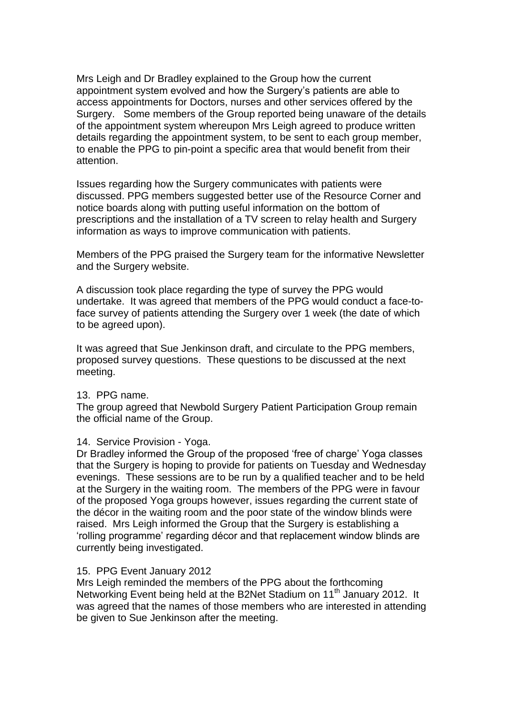Mrs Leigh and Dr Bradley explained to the Group how the current appointment system evolved and how the Surgery's patients are able to access appointments for Doctors, nurses and other services offered by the Surgery. Some members of the Group reported being unaware of the details of the appointment system whereupon Mrs Leigh agreed to produce written details regarding the appointment system, to be sent to each group member, to enable the PPG to pin-point a specific area that would benefit from their attention.

Issues regarding how the Surgery communicates with patients were discussed. PPG members suggested better use of the Resource Corner and notice boards along with putting useful information on the bottom of prescriptions and the installation of a TV screen to relay health and Surgery information as ways to improve communication with patients.

Members of the PPG praised the Surgery team for the informative Newsletter and the Surgery website.

A discussion took place regarding the type of survey the PPG would undertake. It was agreed that members of the PPG would conduct a face-toface survey of patients attending the Surgery over 1 week (the date of which to be agreed upon).

It was agreed that Sue Jenkinson draft, and circulate to the PPG members, proposed survey questions. These questions to be discussed at the next meeting.

## 13. PPG name.

The group agreed that Newbold Surgery Patient Participation Group remain the official name of the Group.

## 14. Service Provision - Yoga.

Dr Bradley informed the Group of the proposed 'free of charge' Yoga classes that the Surgery is hoping to provide for patients on Tuesday and Wednesday evenings. These sessions are to be run by a qualified teacher and to be held at the Surgery in the waiting room. The members of the PPG were in favour of the proposed Yoga groups however, issues regarding the current state of the décor in the waiting room and the poor state of the window blinds were raised. Mrs Leigh informed the Group that the Surgery is establishing a 'rolling programme' regarding décor and that replacement window blinds are currently being investigated.

## 15. PPG Event January 2012

Mrs Leigh reminded the members of the PPG about the forthcoming Networking Event being held at the B2Net Stadium on 11<sup>th</sup> January 2012. It was agreed that the names of those members who are interested in attending be given to Sue Jenkinson after the meeting.